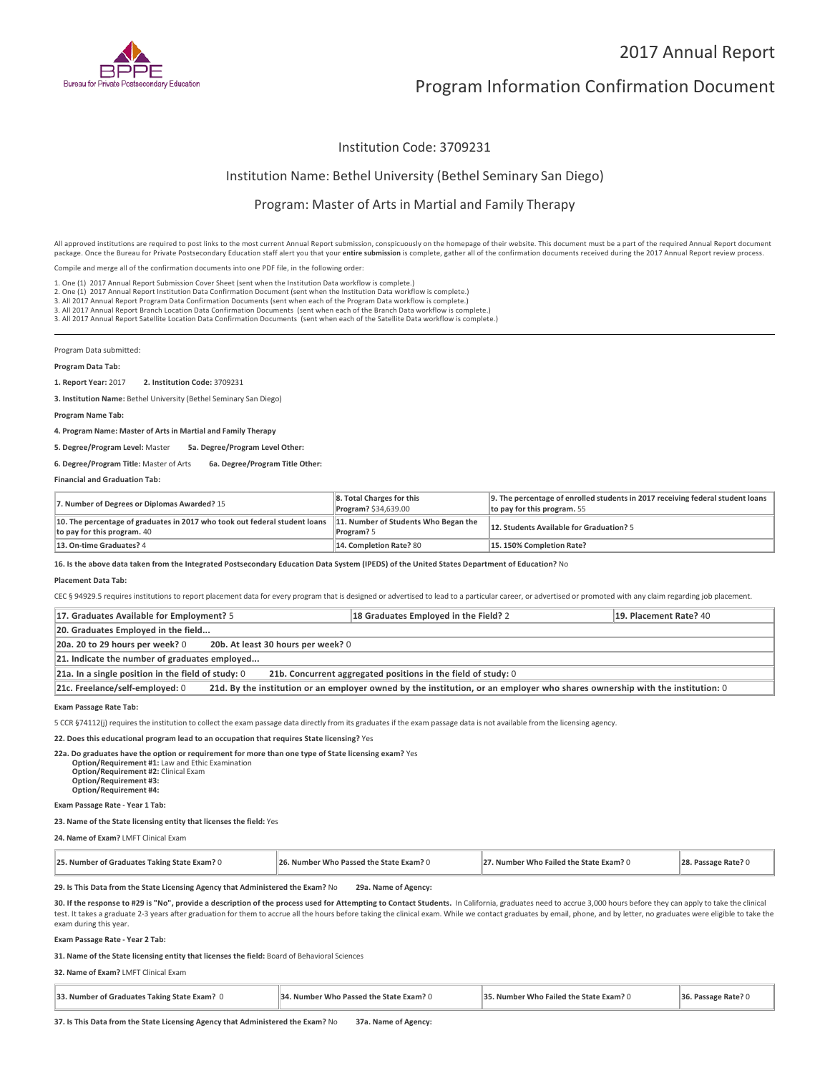

# 2017 Annual Report

# Program Information Confirmation Document

# Institution Code: 3709231

# Institution Name: Bethel University (Bethel Seminary San Diego)

## Program: Master of Arts in Martial and Family Therapy

All approved institutions are required to post links to the most current Annual Report submission, conspicuously on the homepage of their website. This document must be a part of the required Annual Report document package. Once the Bureau for Private Postsecondary Education staff alert you that your **entire submission** is complete, gather all of the confirmation documents received during the 2017 Annual Report review process.

Compile and merge all of the confirmation documents into one PDF file, in the following order:

1. One (1) 2017 Annual Report Submission Cover Sheet (sent when the Institution Data workflow is complete.)

1. One (1) 2017 Annual Report Submission Cover Sheet (sent when the Institution Data workflow is complete.)<br>2. One (1) 2017 Annual Report Institution Data Confirmation Document (sent when the Institution Data workflow is c

3. All 2017 Annual Report Branch Location Data Confirmation Documents (sent when each of the Branch Data workflow is complete.)

3. All 2017 Annual Report Satellite Location Data Confirmation Documents (sent when each of the Satellite Data workflow is complete.)

Program Data submitted:

#### **Program Data Tab:**

**1. Report Year:** 2017 **2. Institution Code:** <sup>3709231</sup>

**3. Institution Name:** Bethel University (Bethel Seminary San Diego)

### **Program Name Tab:**

**4. Program Name: Master of Arts in Martial and Family Therapy**

**5. Degree/Program Level:** Master **5a. Degree/Program Level Other:**

### **6. Degree/Program Title:** Master of Arts **6a. Degree/Program Title Other:**

**Financial and Graduation Tab:**

| 7. Number of Degrees or Diplomas Awarded? 15                                                              | 8. Total Charges for this<br>Program? \$34,639.00  | 9. The percentage of enrolled students in 2017 receiving federal student loans<br>to pay for this program. 55 |
|-----------------------------------------------------------------------------------------------------------|----------------------------------------------------|---------------------------------------------------------------------------------------------------------------|
| 10. The percentage of graduates in 2017 who took out federal student loans<br>to pay for this program. 40 | 11. Number of Students Who Began the<br>Program? 5 | 12. Students Available for Graduation? 5                                                                      |
| 13. On-time Graduates? 4                                                                                  | 14. Completion Rate? 80                            | 15.150% Completion Rate?                                                                                      |

**16. Is the above data taken from the Integrated Postsecondary Education Data System (IPEDS) of the United States Department of Education?** No

#### **Placement Data Tab:**

CEC § 94929.5 requires institutions to report placement data for every program that is designed or advertised to lead to a particular career, or advertised or promoted with any claim regarding job placement.

| 17. Graduates Available for Employment? 5                                                                                                                       | 18 Graduates Employed in the Field? 2 | 19. Placement Rate? 40 |  |  |
|-----------------------------------------------------------------------------------------------------------------------------------------------------------------|---------------------------------------|------------------------|--|--|
| 20. Graduates Employed in the field                                                                                                                             |                                       |                        |  |  |
| 20a. 20 to 29 hours per week? 0<br>20b. At least 30 hours per week? 0                                                                                           |                                       |                        |  |  |
| 21. Indicate the number of graduates employed                                                                                                                   |                                       |                        |  |  |
| $21a$ . In a single position in the field of study: 0<br>21b. Concurrent aggregated positions in the field of study: 0                                          |                                       |                        |  |  |
| 21d. By the institution or an employer owned by the institution, or an employer who shares ownership with the institution: 0<br>21c. Freelance/self-employed: 0 |                                       |                        |  |  |

#### **Exam Passage Rate Tab:**

5 CCR §74112(j) requires the institution to collect the exam passage data directly from its graduates if the exam passage data is not available from the licensing agency.

### **22. Does this educational program lead to an occupation that requires State licensing?** Yes

**22a. Do graduates have the option or requirement for more than one type of State licensing exam?** Yes **Option/Requirement #1:** Law and Ethic Examination **Option/Requirement #2:** Clinical Exam **Option/Requirement #3: Option/Requirement #4:**

# **Exam Passage Rate - Year 1 Tab:**

### **23. Name of the State licensing entity that licenses the field:** Yes

**24. Name of Exam?** LMFT Clinical Exam

| 27. Number Who Failed the State Exam? 0<br>25. Number of Graduates Taking State Exam? 0<br>26. Number Who Passed the State Exam? 0 | 28. Passage Rate? 0 |
|------------------------------------------------------------------------------------------------------------------------------------|---------------------|
|------------------------------------------------------------------------------------------------------------------------------------|---------------------|

### **29. Is This Data from the State Licensing Agency that Administered the Exam?** No **29a. Name of Agency:**

**30. If the response to #29 is "No", provide a description of the process used for Attempting to Contact Students.** In California, graduates need to accrue 3,000 hours before they can apply to take the clinical test. It takes a graduate 2-3 years after graduation for them to accrue all the hours before taking the clinical exam. While we contact graduates by email, phone, and by letter, no graduates were eligible to take the exam during this year.

#### **Exam Passage Rate - Year 2 Tab:**

**31. Name of the State licensing entity that licenses the field:** Board of Behavioral Sciences

#### **32. Name of Exam?** LMFT Clinical Exam

| 33. Number of Graduates Taking State Exam? 0 | 34. Number Who Passed the State Exam? 0 | 35. Number Who Failed the State Exam? 0 | 36. Passage Rate? 0 |
|----------------------------------------------|-----------------------------------------|-----------------------------------------|---------------------|
|                                              |                                         |                                         |                     |